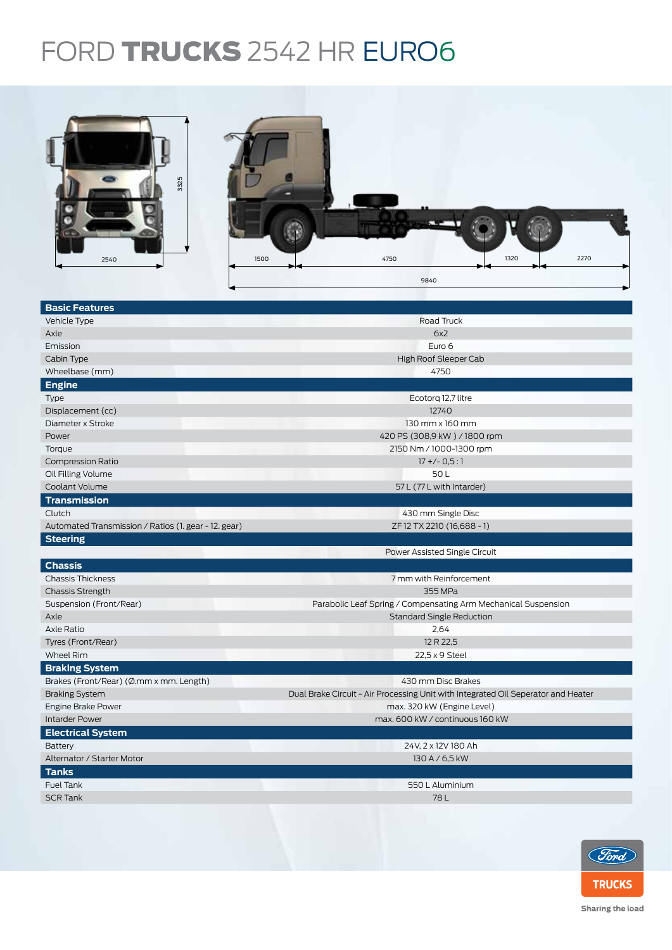## FORD **TRUCKS** 2542 HR EURO6



| <b>Basic Features</b>                                |                                                                                   |  |  |  |
|------------------------------------------------------|-----------------------------------------------------------------------------------|--|--|--|
| Vehicle Type                                         | Road Truck                                                                        |  |  |  |
| Axle                                                 | 6x2                                                                               |  |  |  |
| Emission                                             | Euro 6                                                                            |  |  |  |
| Cabin Type                                           | High Roof Sleeper Cab                                                             |  |  |  |
| Wheelbase (mm)                                       | 4750                                                                              |  |  |  |
| <b>Engine</b>                                        |                                                                                   |  |  |  |
| Type                                                 | Ecotorg 12,7 litre                                                                |  |  |  |
| Displacement (cc)                                    | 12740                                                                             |  |  |  |
| Diameter x Stroke                                    | 130 mm x 160 mm                                                                   |  |  |  |
| Power                                                | 420 PS (308,9 kW) / 1800 rpm                                                      |  |  |  |
| Torque                                               | 2150 Nm / 1000-1300 rpm                                                           |  |  |  |
| <b>Compression Ratio</b>                             | $17 + (-0.5:1)$                                                                   |  |  |  |
| Oil Filling Volume                                   | 50L                                                                               |  |  |  |
| Coolant Volume                                       | 57 L (77 L with Intarder)                                                         |  |  |  |
| <b>Transmission</b>                                  |                                                                                   |  |  |  |
| Clutch                                               | 430 mm Single Disc                                                                |  |  |  |
| Automated Transmission / Ratios (1. gear - 12. gear) | ZF 12 TX 2210 (16,688 - 1)                                                        |  |  |  |
| <b>Steering</b>                                      |                                                                                   |  |  |  |
|                                                      | Power Assisted Single Circuit                                                     |  |  |  |
| <b>Chassis</b>                                       |                                                                                   |  |  |  |
| <b>Chassis Thickness</b>                             | 7 mm with Reinforcement                                                           |  |  |  |
| <b>Chassis Strength</b>                              | 355 MPa                                                                           |  |  |  |
| Suspension (Front/Rear)                              | Parabolic Leaf Spring / Compensating Arm Mechanical Suspension                    |  |  |  |
| Axle                                                 | <b>Standard Single Reduction</b>                                                  |  |  |  |
| Axle Ratio                                           | 2,64                                                                              |  |  |  |
| Tyres (Front/Rear)                                   | 12 R 22,5                                                                         |  |  |  |
| <b>Wheel Rim</b>                                     | 22,5 x 9 Steel                                                                    |  |  |  |
| <b>Braking System</b>                                |                                                                                   |  |  |  |
| Brakes (Front/Rear) (Ø.mm x mm. Length)              | 430 mm Disc Brakes                                                                |  |  |  |
| <b>Braking System</b>                                | Dual Brake Circuit - Air Processing Unit with Integrated Oil Seperator and Heater |  |  |  |
| Engine Brake Power                                   | max. 320 kW (Engine Level)                                                        |  |  |  |
| <b>Intarder Power</b>                                | max. 600 kW / continuous 160 kW                                                   |  |  |  |
| <b>Electrical System</b>                             |                                                                                   |  |  |  |
| Battery                                              | 24V, 2 x 12V 180 Ah                                                               |  |  |  |
| Alternator / Starter Motor                           | 130 A / 6,5 kW                                                                    |  |  |  |
| <b>Tanks</b>                                         |                                                                                   |  |  |  |
| <b>Fuel Tank</b>                                     | 550 L Aluminium                                                                   |  |  |  |
| <b>SCR Tank</b>                                      | 78L                                                                               |  |  |  |
|                                                      |                                                                                   |  |  |  |
|                                                      |                                                                                   |  |  |  |



Sharing the load